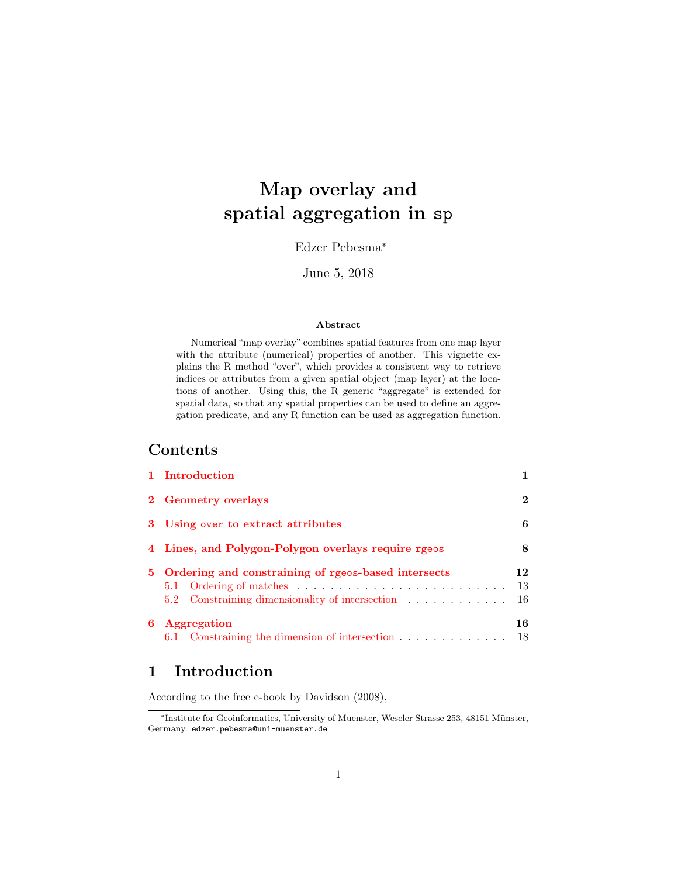# Map overlay and spatial aggregation in sp

Edzer Pebesma\*

June 5, 2018

#### Abstract

Numerical "map overlay" combines spatial features from one map layer with the attribute (numerical) properties of another. This vignette explains the R method "over", which provides a consistent way to retrieve indices or attributes from a given spatial object (map layer) at the locations of another. Using this, the R generic "aggregate" is extended for spatial data, so that any spatial properties can be used to define an aggregation predicate, and any R function can be used as aggregation function.

### Contents

|   | 1 Introduction                                                                                                                                                                                |                |  |  |  |  |
|---|-----------------------------------------------------------------------------------------------------------------------------------------------------------------------------------------------|----------------|--|--|--|--|
|   | 2 Geometry overlays                                                                                                                                                                           |                |  |  |  |  |
|   | 3 Using over to extract attributes                                                                                                                                                            |                |  |  |  |  |
|   | 4 Lines, and Polygon-Polygon overlays require rgeos                                                                                                                                           |                |  |  |  |  |
|   | 5 Ordering and constraining of rgeos-based intersects<br>5.1 Ordering of matches $\ldots \ldots \ldots \ldots \ldots \ldots \ldots \ldots$<br>5.2 Constraining dimensionality of intersection | 12<br>13<br>16 |  |  |  |  |
| 6 | Aggregation<br>6.1 Constraining the dimension of intersection                                                                                                                                 | 16<br>18       |  |  |  |  |

# <span id="page-0-0"></span>1 Introduction

According to the free e-book by Davidson (2008),

<sup>\*</sup>Institute for Geoinformatics, University of Muenster, Weseler Strasse 253, 48151 Münster, Germany. edzer.pebesma@uni-muenster.de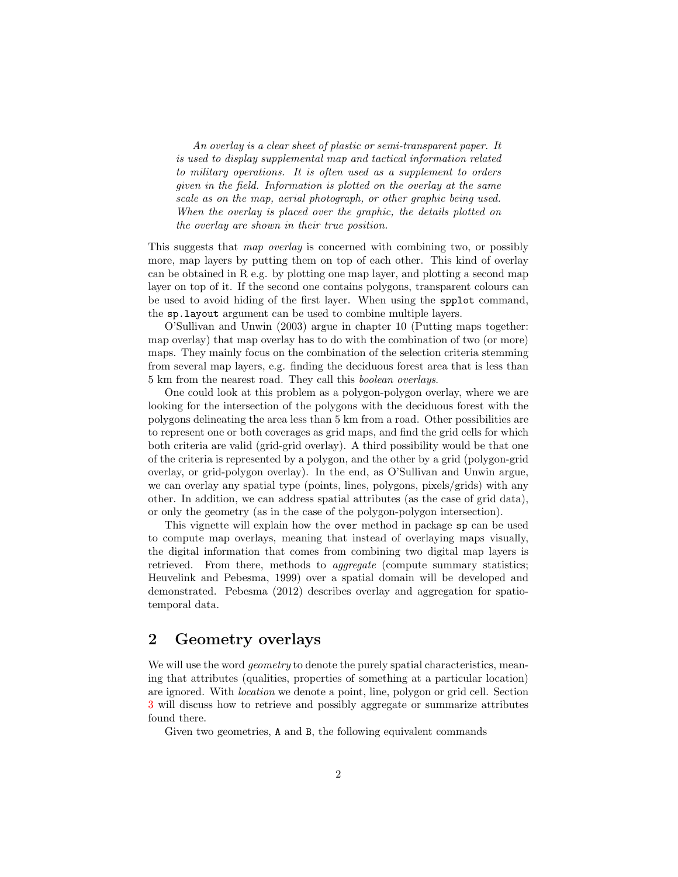An overlay is a clear sheet of plastic or semi-transparent paper. It is used to display supplemental map and tactical information related to military operations. It is often used as a supplement to orders given in the field. Information is plotted on the overlay at the same scale as on the map, aerial photograph, or other graphic being used. When the overlay is placed over the graphic, the details plotted on the overlay are shown in their true position.

This suggests that map overlay is concerned with combining two, or possibly more, map layers by putting them on top of each other. This kind of overlay can be obtained in R e.g. by plotting one map layer, and plotting a second map layer on top of it. If the second one contains polygons, transparent colours can be used to avoid hiding of the first layer. When using the spplot command, the sp.layout argument can be used to combine multiple layers.

O'Sullivan and Unwin (2003) argue in chapter 10 (Putting maps together: map overlay) that map overlay has to do with the combination of two (or more) maps. They mainly focus on the combination of the selection criteria stemming from several map layers, e.g. finding the deciduous forest area that is less than 5 km from the nearest road. They call this boolean overlays.

One could look at this problem as a polygon-polygon overlay, where we are looking for the intersection of the polygons with the deciduous forest with the polygons delineating the area less than 5 km from a road. Other possibilities are to represent one or both coverages as grid maps, and find the grid cells for which both criteria are valid (grid-grid overlay). A third possibility would be that one of the criteria is represented by a polygon, and the other by a grid (polygon-grid overlay, or grid-polygon overlay). In the end, as O'Sullivan and Unwin argue, we can overlay any spatial type (points, lines, polygons, pixels/grids) with any other. In addition, we can address spatial attributes (as the case of grid data), or only the geometry (as in the case of the polygon-polygon intersection).

This vignette will explain how the over method in package sp can be used to compute map overlays, meaning that instead of overlaying maps visually, the digital information that comes from combining two digital map layers is retrieved. From there, methods to *aggregate* (compute summary statistics; Heuvelink and Pebesma, 1999) over a spatial domain will be developed and demonstrated. Pebesma (2012) describes overlay and aggregation for spatiotemporal data.

### <span id="page-1-0"></span>2 Geometry overlays

We will use the word *geometry* to denote the purely spatial characteristics, meaning that attributes (qualities, properties of something at a particular location) are ignored. With location we denote a point, line, polygon or grid cell. Section [3](#page-5-0) will discuss how to retrieve and possibly aggregate or summarize attributes found there.

Given two geometries, A and B, the following equivalent commands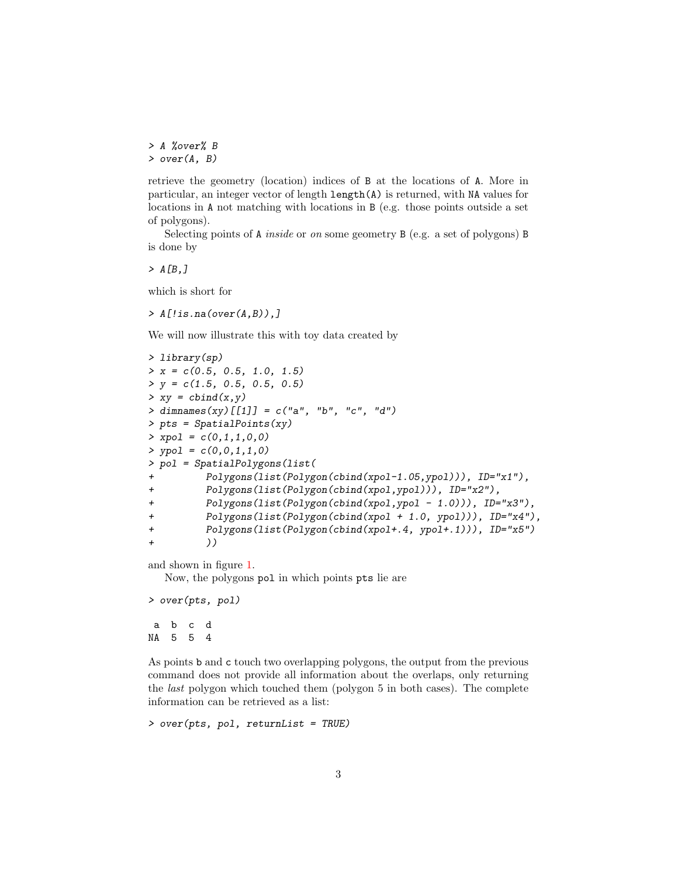> A %over% B > over(A, B)

retrieve the geometry (location) indices of B at the locations of A. More in particular, an integer vector of length length(A) is returned, with NA values for locations in A not matching with locations in B (e.g. those points outside a set of polygons).

Selecting points of A inside or on some geometry B (e.g. a set of polygons) B is done by

 $> A[B, ]$ 

which is short for

 $> A[$ !is.na(over(A,B)),]

We will now illustrate this with toy data created by

> library(sp)  $> x = c(0.5, 0.5, 1.0, 1.5)$  $> y = c(1.5, 0.5, 0.5, 0.5)$  $> xy = \text{cbind}(x, y)$  $>$  dimnames(xy)[[1]] = c("a", "b", "c", "d") > pts = SpatialPoints(xy)  $>$  xpol =  $c(0,1,1,0,0)$  $> ypol = c(0,0,1,1,0)$ > pol = SpatialPolygons(list( Polygons(list(Polygon(cbind(xpol-1.05,ypol))), ID="x1"), + Polygons(list(Polygon(cbind(xpol,ypol))), ID="x2"), + Polygons(list(Polygon(cbind(xpol,ypol - 1.0))), ID="x3"), + Polygons(list(Polygon(cbind(xpol + 1.0, ypol))), ID="x4"), + Polygons(list(Polygon(cbind(xpol+.4, ypol+.1))), ID="x5") + ))

and shown in figure [1.](#page-3-0)

Now, the polygons pol in which points pts lie are

> over(pts, pol) a b c d

NA 5 5 4

As points b and c touch two overlapping polygons, the output from the previous command does not provide all information about the overlaps, only returning the last polygon which touched them (polygon 5 in both cases). The complete information can be retrieved as a list:

> over(pts, pol, returnList = TRUE)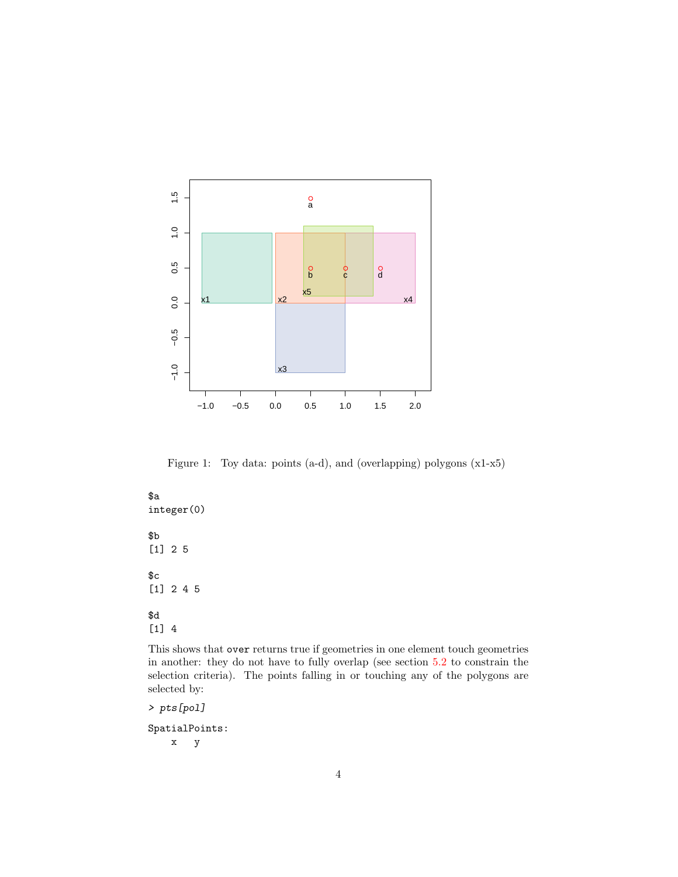

<span id="page-3-0"></span>Figure 1: Toy data: points (a-d), and (overlapping) polygons (x1-x5)

\$a integer(0) \$b [1] 2 5 \$c [1] 2 4 5 \$d [1] 4

This shows that over returns true if geometries in one element touch geometries in another: they do not have to fully overlap (see section [5.2](#page-15-0) to constrain the selection criteria). The points falling in or touching any of the polygons are selected by:

> pts[pol]

SpatialPoints: x y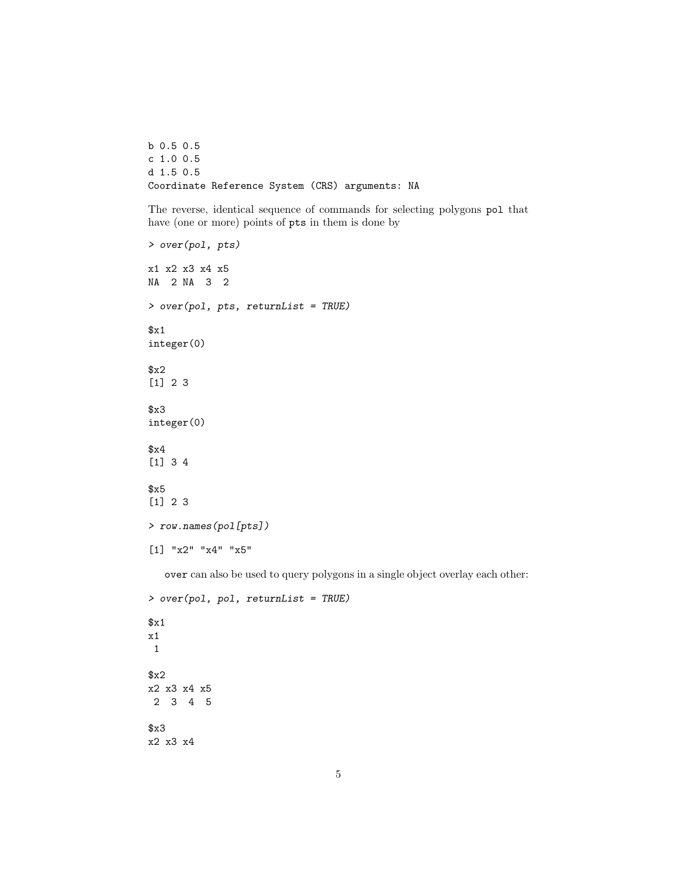b 0.5 0.5 c 1.0 0.5 d 1.5 0.5 Coordinate Reference System (CRS) arguments: NA

The reverse, identical sequence of commands for selecting polygons pol that have (one or more) points of pts in them is done by

```
> over(pol, pts)
x1 x2 x3 x4 x5
NA 2 NA 3 2
> over(pol, pts, returnList = TRUE)
x1integer(0)
$x2
[1] 2 3
$x3
integer(0)
$x4
[1] 3 4
$x5
[1] 2 3
> row.names(pol[pts])
[1] "x2" "x4" "x5"
```
over can also be used to query polygons in a single object overlay each other:

```
> over(pol, pol, returnList = TRUE)
x1x1
 1
$x2
x2 x3 x4 x5
2 3 4 5
$x3
x2 x3 x4
```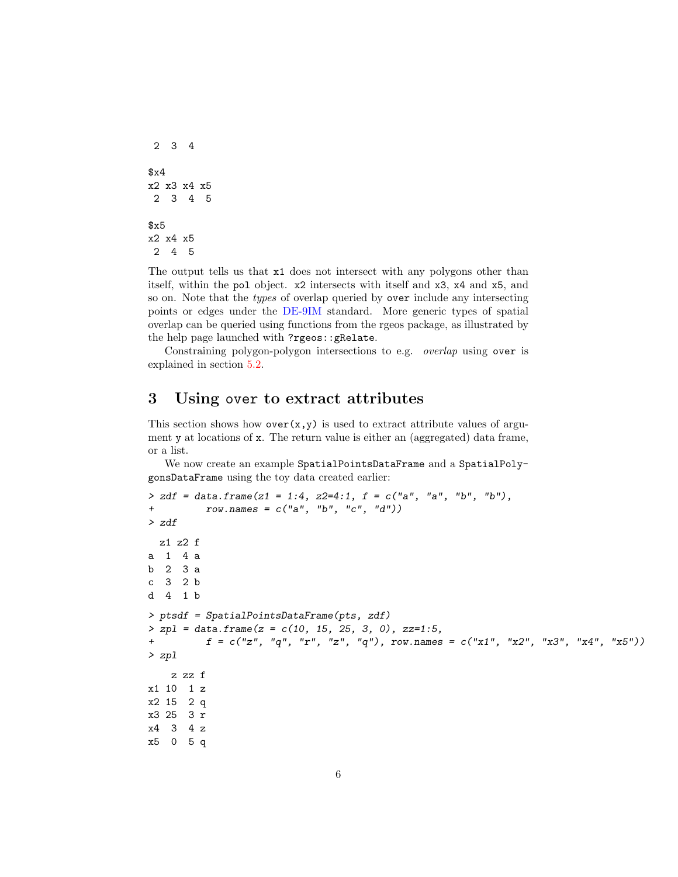```
2 3 4
$x4
x2 x3 x4 x5
2 3 4 5
$x5
x2 x4 x5
2 4 5
```
The output tells us that  $x1$  does not intersect with any polygons other than itself, within the pol object. x2 intersects with itself and x3, x4 and x5, and so on. Note that the types of overlap queried by over include any intersecting points or edges under the [DE-9IM](https://en.wikipedia.org/wiki/DE-9IM) standard. More generic types of spatial overlap can be queried using functions from the rgeos package, as illustrated by the help page launched with ?rgeos::gRelate.

Constraining polygon-polygon intersections to e.g. overlap using over is explained in section [5.2.](#page-15-0)

### <span id="page-5-0"></span>3 Using over to extract attributes

This section shows how  $over(x,y)$  is used to extract attribute values of argument y at locations of x. The return value is either an (aggregated) data frame, or a list.

We now create an example SpatialPointsDataFrame and a SpatialPolygonsDataFrame using the toy data created earlier:

```
> zdf = data.frame(z1 = 1:4, z2=4:1, f = c("a", "a", "b", "b").+ row.names = c("a", "b", "c", "d"))
> zdf
 z1 z2 f
a 1 4 a
b 2 3 a
c 3 2 b
d 4 1 b
> ptsdf = SpatialPointsDataFrame(pts, zdf)
> zpl = data. frame(z = c(10, 15, 25, 3, 0), zz=1:5,
+ f = c("z", "q", "r", "z", "q"), row.names = c("x1", "x2", "x3", "x4", "x5"))
> zpl
   z zz f
x1 10 1 z
x2 15 2 q
x3 25 3 r
x4 3 4 z
x5 0 5 q
```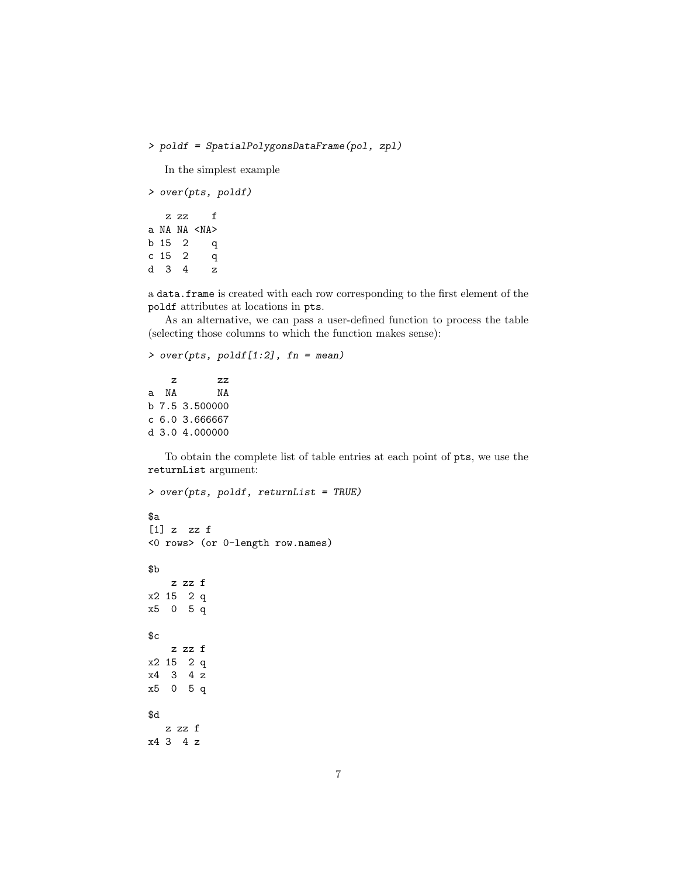> poldf = SpatialPolygonsDataFrame(pol, zpl)

In the simplest example

```
> over(pts, poldf)
  z zz f
a NA NA <NA>
b 15 2 q
c 15 2 q
d 3 4 z
```
a data.frame is created with each row corresponding to the first element of the poldf attributes at locations in pts.

As an alternative, we can pass a user-defined function to process the table (selecting those columns to which the function makes sense):

```
> over(pts, poldf[1:2], fn = mean)
```
z zz a NA NA b 7.5 3.500000 c 6.0 3.666667 d 3.0 4.000000

To obtain the complete list of table entries at each point of pts, we use the returnList argument:

```
> over(pts, poldf, returnList = TRUE)
$a
[1] z zz f
<0 rows> (or 0-length row.names)
$b
   z zz f
x2 15 2 q
x5 0 5 q
cz zz f
x2 15 2 q
x4 3 4 z
x5 0 5 q
$d
  z zz f
x4 3 4 z
```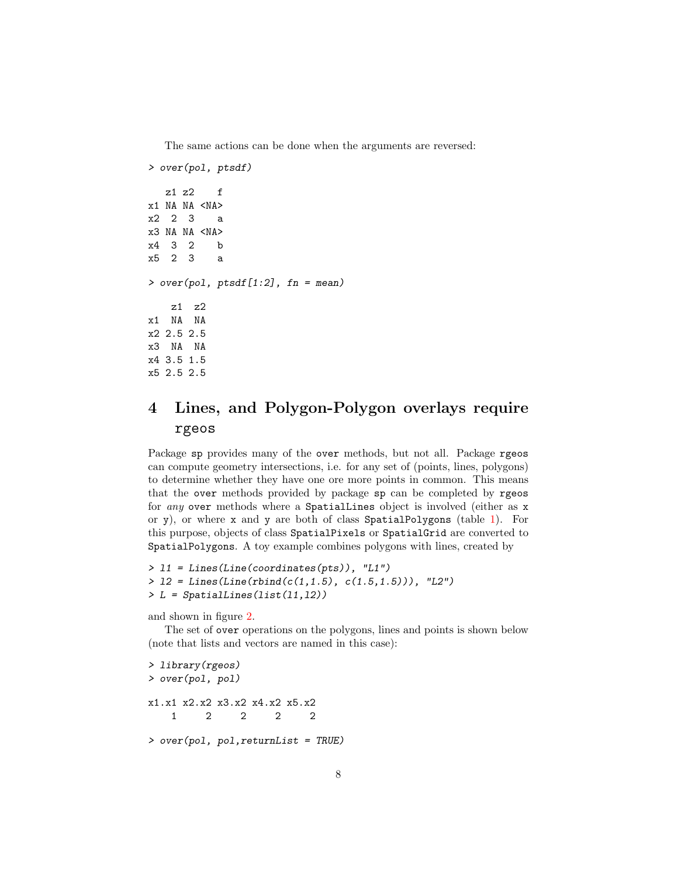The same actions can be done when the arguments are reversed:

```
> over(pol, ptsdf)
  z1 z2 f
x1 NA NA \langleNA\ranglex2 2 3 a
x3 NA NA <NA>
x4 3 2 b
x5 2 3 a
> over(pol, ptsdf[1:2], fn = mean)z1 z2
x1 NA NA
x2 2.5 2.5
x3 NA NA
x4 3.5 1.5
x5 2.5 2.5
```
# <span id="page-7-0"></span>4 Lines, and Polygon-Polygon overlays require rgeos

Package sp provides many of the over methods, but not all. Package rgeos can compute geometry intersections, i.e. for any set of (points, lines, polygons) to determine whether they have one ore more points in common. This means that the over methods provided by package sp can be completed by rgeos for any over methods where a SpatialLines object is involved (either as x or y), or where x and y are both of class SpatialPolygons (table [1\)](#page-8-0). For this purpose, objects of class SpatialPixels or SpatialGrid are converted to SpatialPolygons. A toy example combines polygons with lines, created by

```
> l1 = Lines(Line(coordinates(pts)), "L1")
> 12 = Lines(Line(rbind(c(1,1.5), c(1.5,1.5))), "L2")
> L = SpatialLines(list(l1,l2))
```
and shown in figure [2.](#page-9-0)

The set of over operations on the polygons, lines and points is shown below (note that lists and vectors are named in this case):

```
> library(rgeos)
> over(pol, pol)
x1.x1 x2.x2 x3.x2 x4.x2 x5.x2
   1 2 2 2 2
> over(pol, pol,returnList = TRUE)
```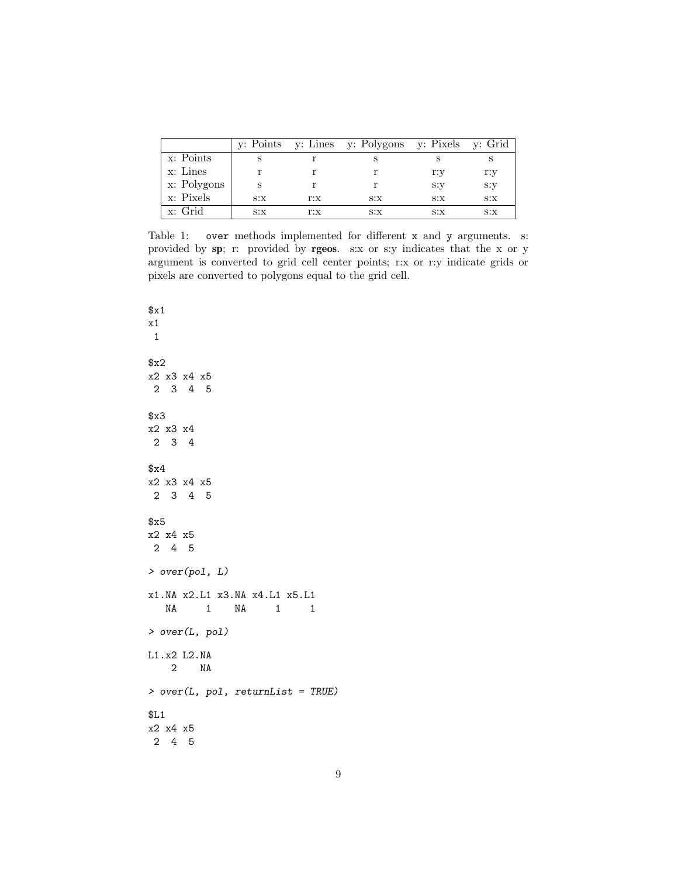|             |      |     | y: Points y: Lines y: Polygons y: Pixels y: Grid |      |      |
|-------------|------|-----|--------------------------------------------------|------|------|
| x: Points   |      |     |                                                  |      |      |
| $x:$ Lines  |      |     |                                                  | r:y  | r:y  |
| x: Polygons |      |     |                                                  | s:y  | s:y  |
| x: Pixels   | S: X | r:x | S: X                                             | S: X | S: X |
| x: Grid     | S: X | r:x | S: X                                             | S:X  | S: X |

<span id="page-8-0"></span>Table 1: over methods implemented for different x and y arguments. s: provided by sp; r: provided by rgeos. s:x or s:y indicates that the x or y argument is converted to grid cell center points; r:x or r:y indicate grids or pixels are converted to polygons equal to the grid cell.

 $x1$ x1 1 \$x2 x2 x3 x4 x5 2 3 4 5 \$x3 x2 x3 x4 2 3 4 \$x4 x2 x3 x4 x5 2 3 4 5 \$x5 x2 x4 x5 2 4 5 > over(pol, L) x1.NA x2.L1 x3.NA x4.L1 x5.L1 NA 1 NA 1 1 > over(L, pol) L1.x2 L2.NA 2 NA > over(L, pol, returnList = TRUE) \$L1 x2 x4 x5 2 4 5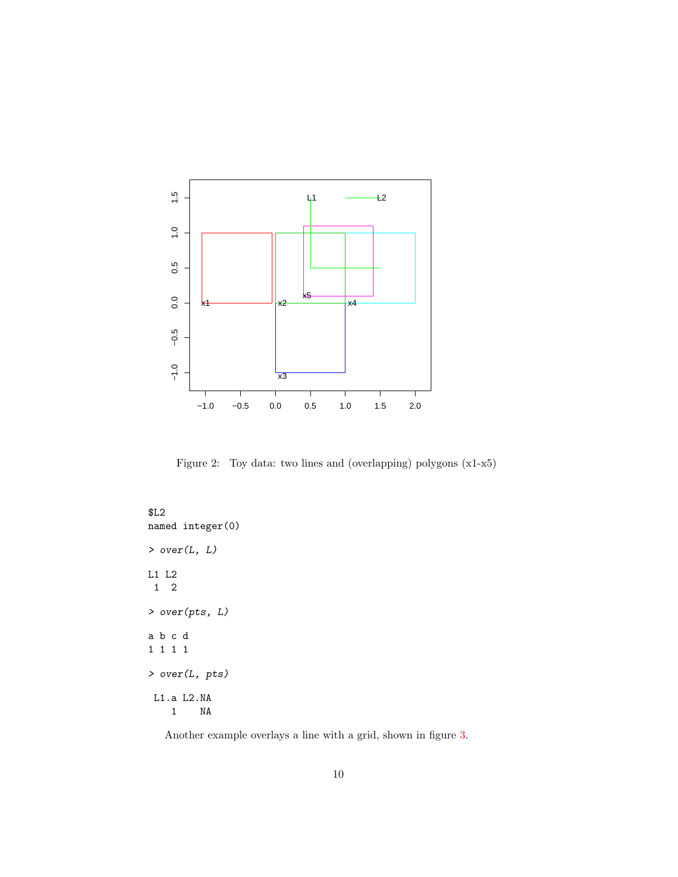

<span id="page-9-0"></span>Figure 2: Toy data: two lines and (overlapping) polygons (x1-x5)

\$L2 named integer(0) > over(L, L) L1 L2 1 2 > over(pts, L) a b c d 1 1 1 1 > over(L, pts) L1.a L2.NA 1 NA

Another example overlays a line with a grid, shown in figure [3.](#page-10-0)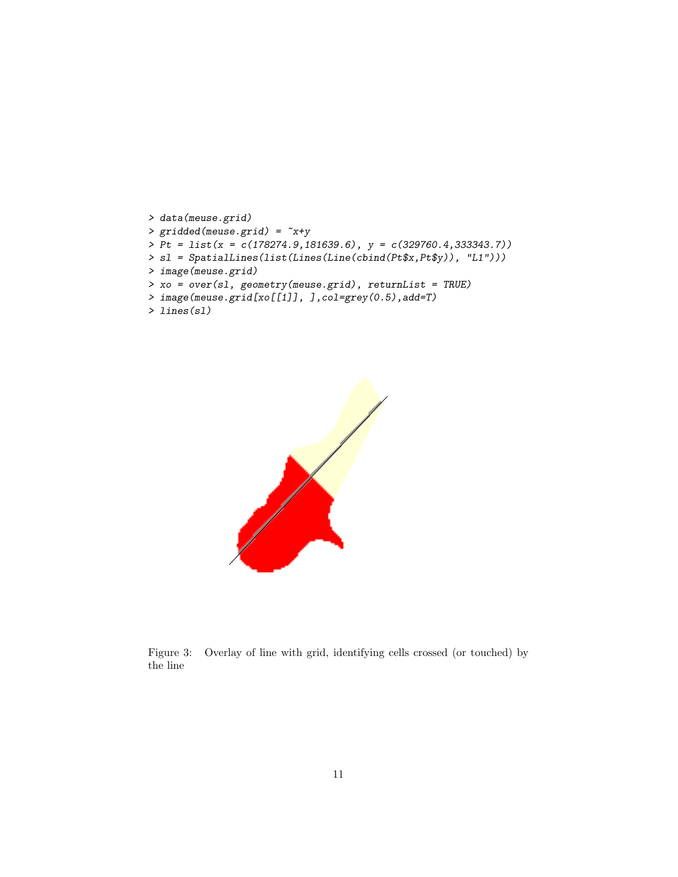```
> data(meuse.grid)
> gridded(meuse.grid) = x+y> Pt = list(x = c(178274.9,181639.6), y = c(329760.4,333343.7))
> sl = SpatialLines(list(Lines(Line(cbind(Pt$x,Pt$y)), "L1")))
> image(meuse.grid)
> xo = over(sl, geometry(meuse.grid), returnList = TRUE)
> image(meuse.grid[xo[[1]], ],col=grey(0.5),add=T)
```

```
> lines(sl)
```


<span id="page-10-0"></span>Figure 3: Overlay of line with grid, identifying cells crossed (or touched) by the line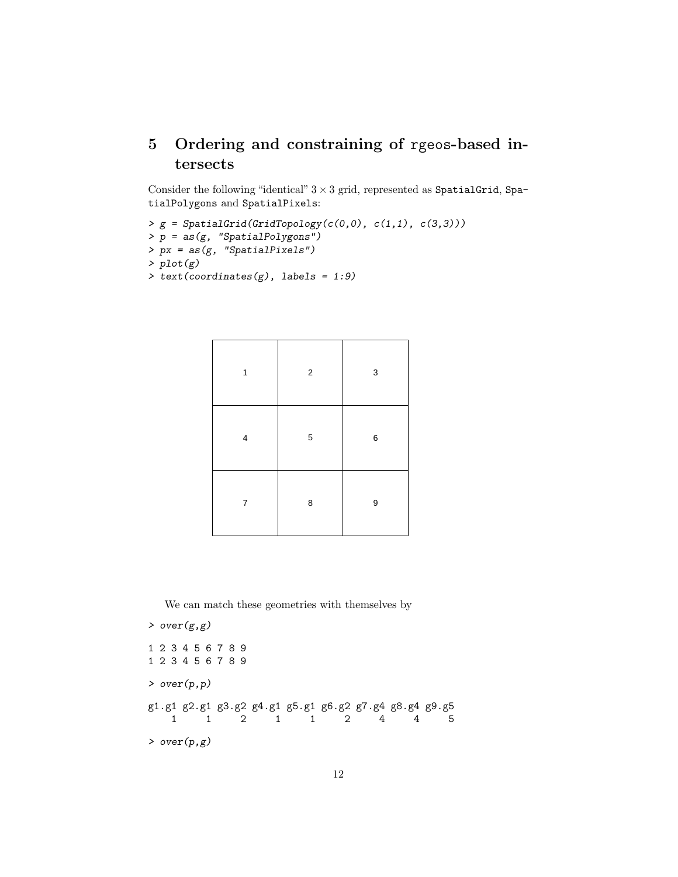# <span id="page-11-0"></span>5 Ordering and constraining of rgeos-based intersects

Consider the following "identical"  $3 \times 3$  grid, represented as SpatialGrid, SpatialPolygons and SpatialPixels:

```
> g = SpatialGrid(GridTopology(c(0,0), c(1,1), c(3,3)))> p = as(g, "SpatialPolygons")
> px = as(g, "SpatialPixels")> plot(g)
> text(coordinates(g), labels = 1:9)
```

| 1              | $\overline{c}$ | 3     |
|----------------|----------------|-------|
| $\overline{4}$ | 5              | $\,6$ |
| 7              | 8              | 9     |

We can match these geometries with themselves by

```
> over(g,g)
1 2 3 4 5 6 7 8 9
1 2 3 4 5 6 7 8 9
> over(p,p)
g1.g1 g2.g1 g3.g2 g4.g1 g5.g1 g6.g2 g7.g4 g8.g4 g9.g5
   1 1 2 1 1 2 4 4 5
> over(p,g)
```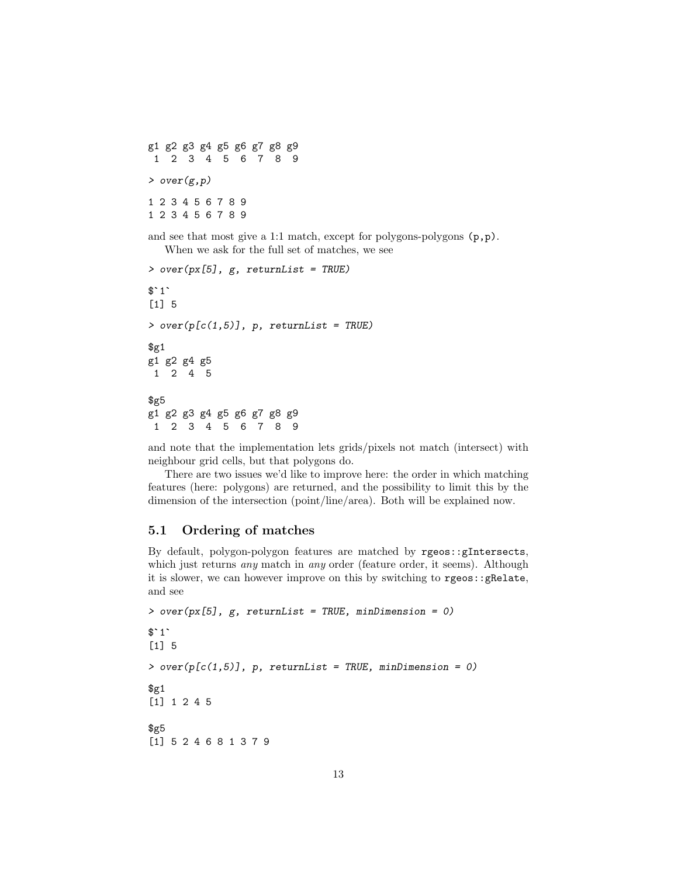g1 g2 g3 g4 g5 g6 g7 g8 g9 1 2 3 4 5 6 7 8 9  $\rightarrow$  over $(g, p)$ 1 2 3 4 5 6 7 8 9 1 2 3 4 5 6 7 8 9

and see that most give a 1:1 match, except for polygons-polygons (p,p). When we ask for the full set of matches, we see

```
> over(px[5], g, returnList = TRUE)
V<br>> ov<br>$`1`
[1] 5
> over(p[c(1,5)], p, returnList = TRUE)\frac{1}{2}g1 g2 g4 g5
1 2 4 5
$g5
g1 g2 g3 g4 g5 g6 g7 g8 g9
1 2 3 4 5 6 7 8 9
```
and note that the implementation lets grids/pixels not match (intersect) with neighbour grid cells, but that polygons do.

There are two issues we'd like to improve here: the order in which matching features (here: polygons) are returned, and the possibility to limit this by the dimension of the intersection (point/line/area). Both will be explained now.

#### <span id="page-12-0"></span>5.1 Ordering of matches

By default, polygon-polygon features are matched by rgeos::gIntersects, which just returns *any* match in *any* order (feature order, it seems). Although it is slower, we can however improve on this by switching to rgeos::gRelate, and see

```
> over(px[5], g, returnList = TRUE, minDimension = 0)
and s<br>> \circ v<br>\text{\$}^{\circ}1^{\circ}[1] 5
> over(p[c(1,5)], p, returnList = TRUE, minDimension = 0)\frac{1}{2}[1] 1 2 4 5
$g5[1] 5 2 4 6 8 1 3 7 9
```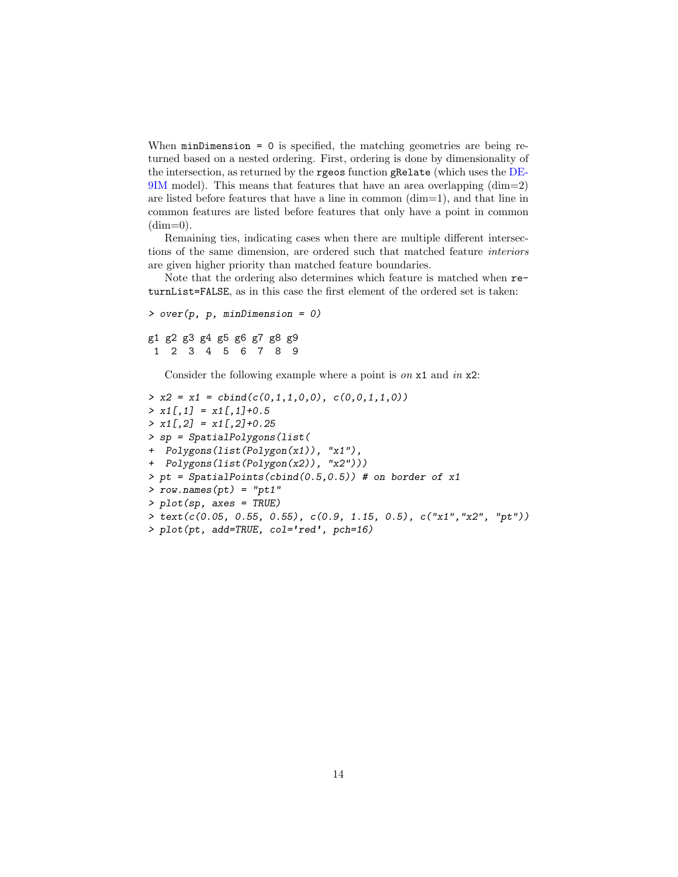When minDimension = 0 is specified, the matching geometries are being returned based on a nested ordering. First, ordering is done by dimensionality of the intersection, as returned by the rgeos function gRelate (which uses the [DE-](https://en.wikipedia.org/wiki/DE-9IM)[9IM](https://en.wikipedia.org/wiki/DE-9IM) model). This means that features that have an area overlapping (dim=2) are listed before features that have a line in common (dim=1), and that line in common features are listed before features that only have a point in common  $(dim=0)$ .

Remaining ties, indicating cases when there are multiple different intersections of the same dimension, are ordered such that matched feature interiors are given higher priority than matched feature boundaries.

Note that the ordering also determines which feature is matched when returnList=FALSE, as in this case the first element of the ordered set is taken:

```
> over(p, p, minDimension = 0)
g1 g2 g3 g4 g5 g6 g7 g8 g9
1 2 3 4 5 6 7 8 9
```
Consider the following example where a point is on  $x1$  and in  $x2$ :

```
> x2 = x1 = \text{cbind}(c(0,1,1,0,0), c(0,0,1,1,0))> x1[, 1] = x1[, 1]+0.5> x1[,2] = x1[,2]+0.25> sp = SpatialPolygons(list(
+ Polygons(list(Polygon(x1)), "x1"),
+ Polygons(list(Polygon(x2)), "x2")))
> pt = SpatialPoints(cbind(0.5, 0.5)) # on border of x1> row.names(pt) = "pt1"> plot(sp, axes = TRUE)
> \text{text}(c(0.05, 0.55, 0.55), c(0.9, 1.15, 0.5), c("x1", "x2", "pt"))> plot(pt, add=TRUE, col='red', pch=16)
```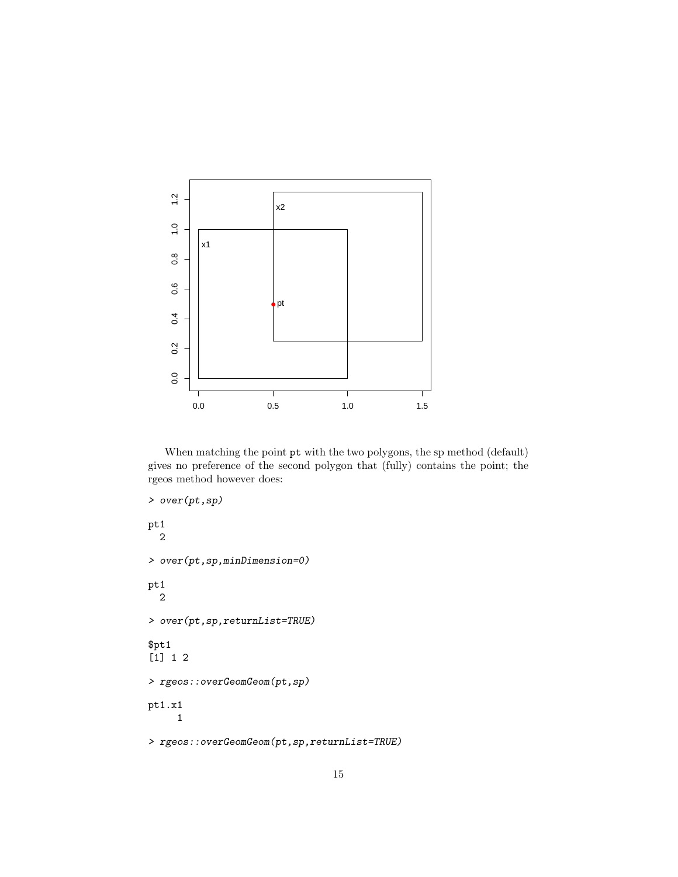

When matching the point  $pt$  with the two polygons, the sp method (default) gives no preference of the second polygon that (fully) contains the point; the rgeos method however does:

```
> over(pt,sp)
pt1
  2
> over(pt,sp,minDimension=0)
pt1
  2
> over(pt,sp,returnList=TRUE)
$pt1
[1] 1 2
> rgeos::overGeomGeom(pt,sp)
pt1.x1
     1
> rgeos::overGeomGeom(pt,sp,returnList=TRUE)
```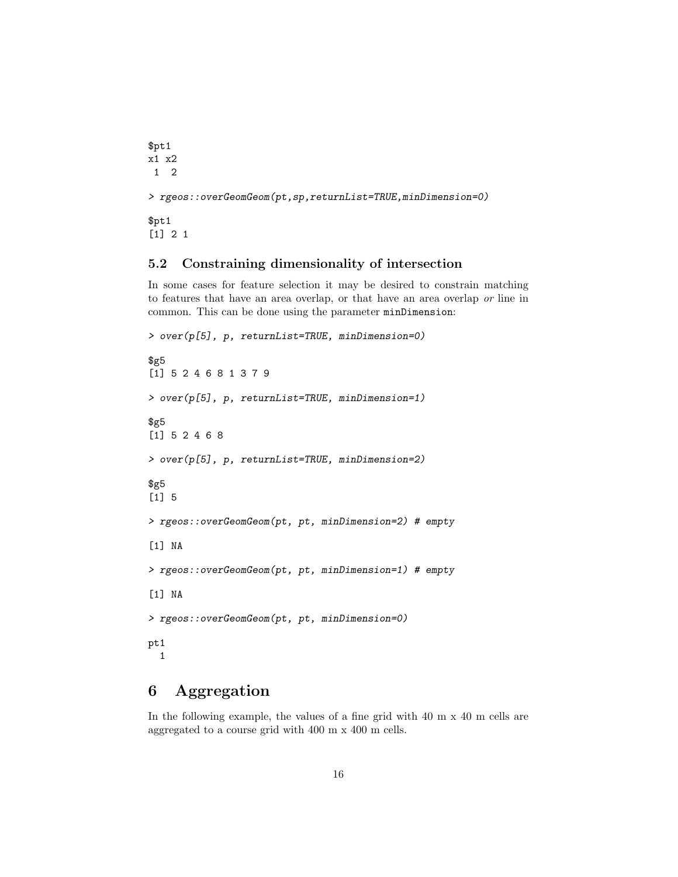```
$pt1
x1 x2
1 2
> rgeos::overGeomGeom(pt,sp,returnList=TRUE,minDimension=0)
$pt1
[1] 2 1
```
#### <span id="page-15-0"></span>5.2 Constraining dimensionality of intersection

In some cases for feature selection it may be desired to constrain matching to features that have an area overlap, or that have an area overlap or line in common. This can be done using the parameter minDimension:

```
> over(p[5], p, returnList=TRUE, minDimension=0)
$g5
[1] 5 2 4 6 8 1 3 7 9
> over(p[5], p, returnList=TRUE, minDimension=1)
$g5
[1] 5 2 4 6 8
> over(p[5], p, returnList=TRUE, minDimension=2)
$g5
[1] 5
> rgeos::overGeomGeom(pt, pt, minDimension=2) # empty
[1] NA
> rgeos::overGeomGeom(pt, pt, minDimension=1) # empty
[1] NA
> rgeos::overGeomGeom(pt, pt, minDimension=0)
pt1
 1
```
## <span id="page-15-1"></span>6 Aggregation

In the following example, the values of a fine grid with 40 m x 40 m cells are aggregated to a course grid with 400 m x 400 m cells.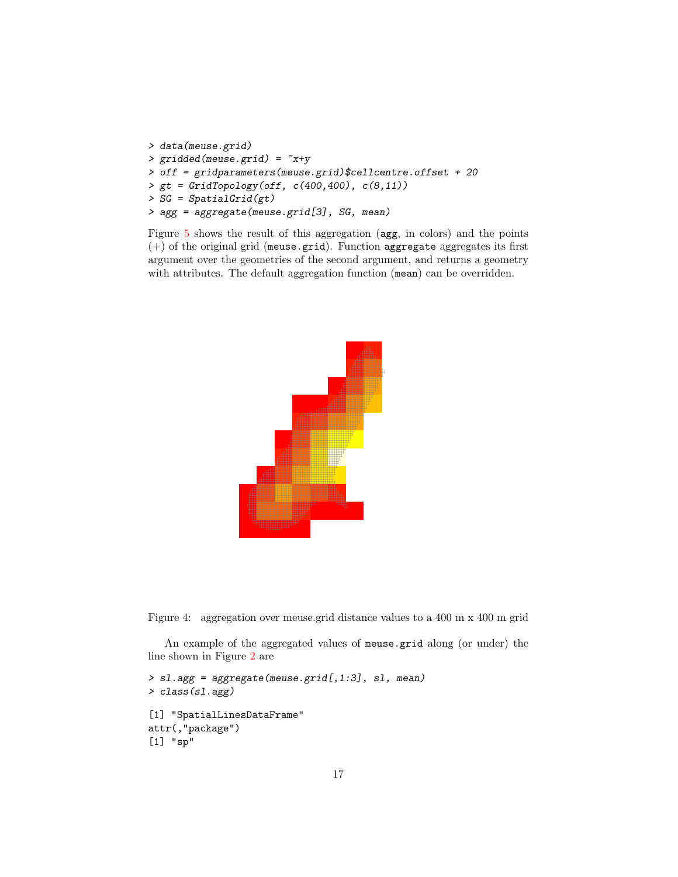```
> data(meuse.grid)
> gridded(meuse.grid) = ~x+y
> off = gridparameters(meuse.grid)$cellcentre.offset + 20
> gt = GridTopology(off, c(400,400), c(8,11))
> SG = SpatialGrid(gt)
> agg = aggregate(meuse.grid[3], SG, mean)
```
Figure [5](#page-18-0) shows the result of this aggregation (agg, in colors) and the points (+) of the original grid (meuse.grid). Function aggregate aggregates its first argument over the geometries of the second argument, and returns a geometry with attributes. The default aggregation function (mean) can be overridden.



Figure 4: aggregation over meuse.grid distance values to a 400 m x 400 m grid

An example of the aggregated values of meuse.grid along (or under) the line shown in Figure [2](#page-9-0) are

```
> sl.agg = aggregate(meuse.grid[,1:3], sl, mean)
> class(sl.agg)
[1] "SpatialLinesDataFrame"
attr(,"package")
[1] "sp"
```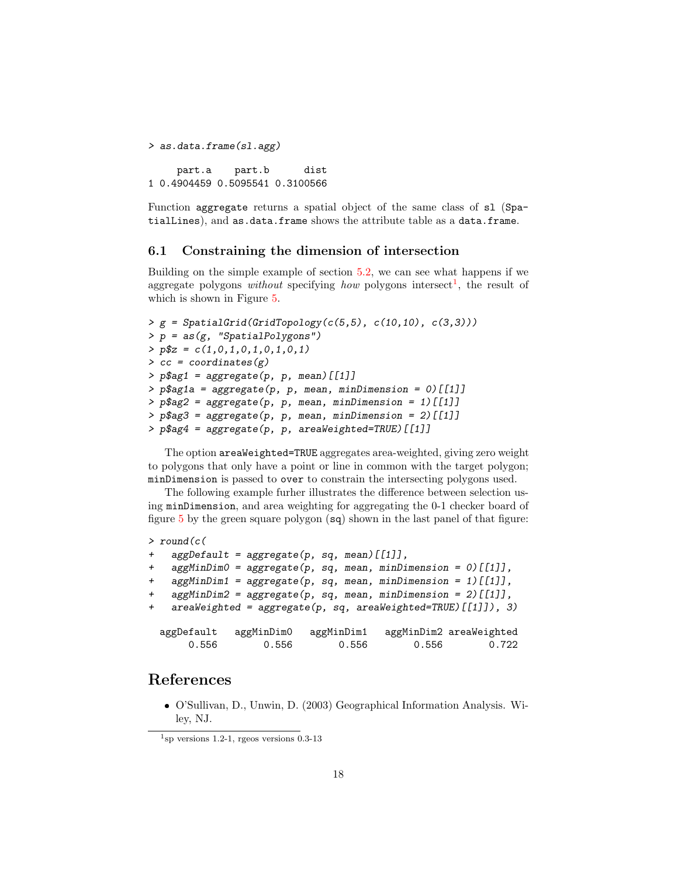```
> as.data.frame(sl.agg)
    part.a part.b dist
1 0.4904459 0.5095541 0.3100566
```
Function aggregate returns a spatial object of the same class of sl (SpatialLines), and as.data.frame shows the attribute table as a data.frame.

#### <span id="page-17-0"></span>6.1 Constraining the dimension of intersection

Building on the simple example of section [5.2,](#page-15-0) we can see what happens if we aggregate polygons *without* specifying *how* polygons intersect<sup>[1](#page-17-1)</sup>, the result of which is shown in Figure [5.](#page-18-0)

```
> g = SpatialGrid(GridTopology(c(5,5), c(10,10), c(3,3)))> p = as(g, "SpatialPolygons")> p$z = c(1,0,1,0,1,0,1,0,1)
\geq cc = coordinates(g)
> p$ag1 = aggregate(p, p, mean) [[1]]
> p$ag1a = aggregate(p, p, mean, minDimension = 0) [[1]]
> p$ag2 = aggregate(p, p, mean, minDimension = 1)[[1]]
> p$ag3 = aggregate(p, p, mean, minDimension = 2) [[1]]
> p$ag4 = aggregate(p, p, areaWeighted=TRUE) [[1]]
```
The option areaWeighted=TRUE aggregates area-weighted, giving zero weight to polygons that only have a point or line in common with the target polygon; minDimension is passed to over to constrain the intersecting polygons used.

The following example furher illustrates the difference between selection using minDimension, and area weighting for aggregating the 0-1 checker board of figure [5](#page-18-0) by the green square polygon (sq) shown in the last panel of that figure:

```
> round(c(
   aggDefault = aggregate(p, sq, mean)[[1]],
   aggMinDim0 = aggregate(p, sq, mean, minDimension = 0) [[1]],
   aggMinDim1 = aggregate(p, sq, mean, minDimension = 1)[[1]],
+ aggMinDim2 = aggregate(p, sq, mean, minDimension = 2)[[1]],
   are a Weighted = aggregate(p, sq, are a Weighted = TRUE) [[1]]), 3)aggDefault aggMinDim0 aggMinDim1 aggMinDim2 areaWeighted
      0.556 0.556 0.556 0.556 0.722
```
### References

 O'Sullivan, D., Unwin, D. (2003) Geographical Information Analysis. Wiley, NJ.

<span id="page-17-1"></span> $1$ sp versions 1.2-1, rgeos versions 0.3-13